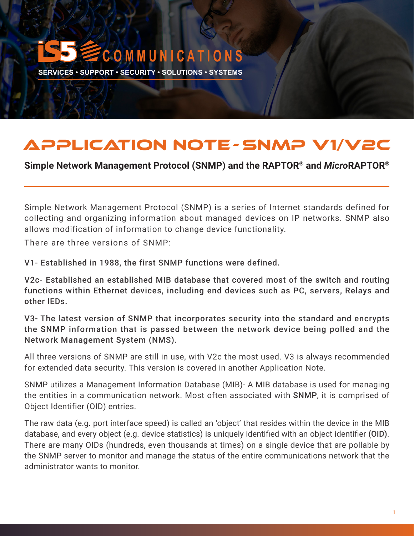# **C O M M U N I C A T I O N S**

**SERVICES • SUPPORT • SECURITY • SOLUTIONS • SYSTEMS** 

# APPLICATION NOTE -SNMP V1/V2C

**Simple Network Management Protocol (SNMP) and the RAPTOR**® **and** *Micro***RAPTOR**®

Simple Network Management Protocol (SNMP) is a series of Internet standards defined for collecting and organizing information about managed devices on IP networks. SNMP also allows modification of information to change device functionality.

There are three versions of SNMP:

V1- Established in 1988, the first SNMP functions were defined.

V2c- Established an established MIB database that covered most of the switch and routing functions within Ethernet devices, including end devices such as PC, servers, Relays and other IEDs.

V3- The latest version of SNMP that incorporates security into the standard and encrypts the SNMP information that is passed between the network device being polled and the Network Management System (NMS).

All three versions of SNMP are still in use, with V2c the most used. V3 is always recommended for extended data security. This version is covered in another Application Note.

SNMP utilizes a Management Information Database (MIB)- A MIB database is used for managing the entities in a communication network. Most often associated with SNMP, it is comprised of Object Identifier (OID) entries.

The raw data (e.g. port interface speed) is called an 'object' that resides within the device in the MIB database, and every object (e.g. device statistics) is uniquely identified with an object identifier (OID). There are many OIDs (hundreds, even thousands at times) on a single device that are pollable by the SNMP server to monitor and manage the status of the entire communications network that the administrator wants to monitor.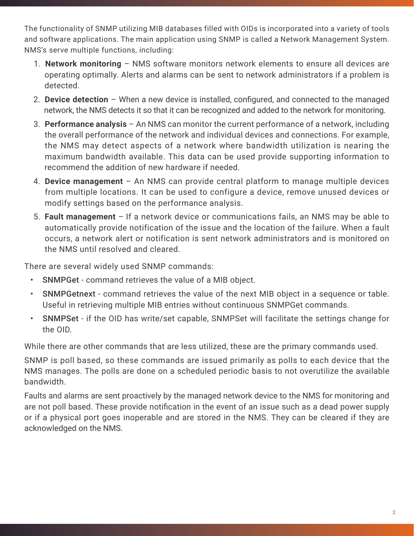The functionality of SNMP utilizing MIB databases filled with OIDs is incorporated into a variety of tools and software applications. The main application using SNMP is called a Network Management System. NMS's serve multiple functions, including:

- 1. **Network monitoring** NMS software monitors network elements to ensure all devices are operating optimally. Alerts and alarms can be sent to network administrators if a problem is detected.
- 2. **Device detection**  When a new device is installed, configured, and connected to the managed network, the NMS detects it so that it can be recognized and added to the network for monitoring.
- 3. **Performance analysis**  An NMS can monitor the current performance of a network, including the overall performance of the network and individual devices and connections. For example, the NMS may detect aspects of a network where bandwidth utilization is nearing the maximum bandwidth available. This data can be used provide supporting information to recommend the addition of new hardware if needed.
- 4. **Device management**  An NMS can provide central platform to manage multiple devices from multiple locations. It can be used to configure a device, remove unused devices or modify settings based on the performance analysis.
- 5. **Fault management**  If a network device or communications fails, an NMS may be able to automatically provide notification of the issue and the location of the failure. When a fault occurs, a network alert or notification is sent network administrators and is monitored on the NMS until resolved and cleared.

There are several widely used SNMP commands:

- SNMPGet command retrieves the value of a MIB object.
- SNMPGetnext command retrieves the value of the next MIB object in a sequence or table. Useful in retrieving multiple MIB entries without continuous SNMPGet commands.
- SNMPSet if the OID has write/set capable, SNMPSet will facilitate the settings change for the OID.

While there are other commands that are less utilized, these are the primary commands used.

SNMP is poll based, so these commands are issued primarily as polls to each device that the NMS manages. The polls are done on a scheduled periodic basis to not overutilize the available bandwidth.

Faults and alarms are sent proactively by the managed network device to the NMS for monitoring and are not poll based. These provide notification in the event of an issue such as a dead power supply or if a physical port goes inoperable and are stored in the NMS. They can be cleared if they are acknowledged on the NMS.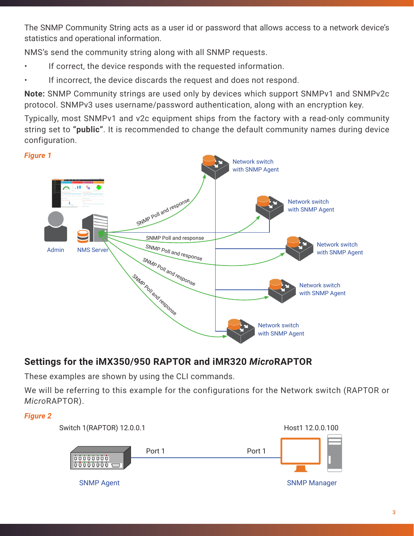The SNMP Community String acts as a user id or password that allows access to a network device's statistics and operational information.

NMS's send the community string along with all SNMP requests.

- If correct, the device responds with the requested information.
- If incorrect, the device discards the request and does not respond.

**Note:** SNMP Community strings are used only by devices which support SNMPv1 and SNMPv2c protocol. SNMPv3 uses username/password authentication, along with an encryption key.

Typically, most SNMPv1 and v2c equipment ships from the factory with a read-only community string set to **"public"**. It is recommended to change the default community names during device configuration.



## **Settings for the iMX350/950 RAPTOR and iMR320** *Micro***RAPTOR**

These examples are shown by using the CLI commands.

We will be referring to this example for the configurations for the Network switch (RAPTOR or *Micro*RAPTOR).

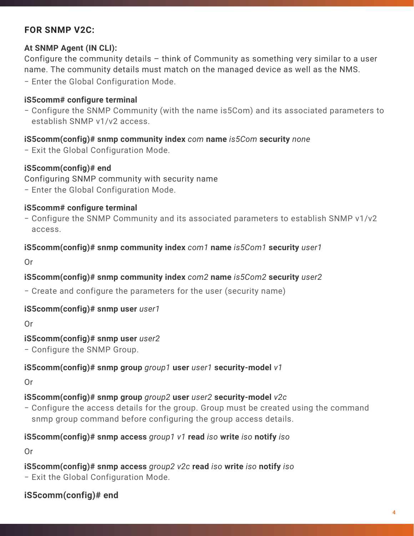### **FOR SNMP V2C:**

#### **At SNMP Agent (IN CLI):**

Configure the community details – think of Community as something very similar to a user name. The community details must match on the managed device as well as the NMS.

− Enter the Global Configuration Mode.

#### **iS5comm# configure terminal**

− Configure the SNMP Community (with the name is5Com) and its associated parameters to establish SNMP v1/v2 access.

#### **iS5comm(config)# snmp community index** *com* **name** *is5Com* **security** *none*

− Exit the Global Configuration Mode.

#### **iS5comm(config)# end**

Configuring SNMP community with security name

− Enter the Global Configuration Mode.

#### **iS5comm# configure terminal**

− Configure the SNMP Community and its associated parameters to establish SNMP v1/v2 access.

#### **iS5comm(config)# snmp community index** *com1* **name** *is5Com1* **security** *user1*

Or

#### **iS5comm(config)# snmp community index** *com2* **name** *is5Com2* **security** *user2*

− Create and configure the parameters for the user (security name)

#### **iS5comm(config)# snmp user** *user1*

Or

#### **iS5comm(config)# snmp user** *user2*

− Configure the SNMP Group.

#### **iS5comm(config)# snmp group** *group1* **user** *user1* **security-model** *v1*

Or

#### **iS5comm(config)# snmp group** *group2* **user** *user2* **security-model** *v2c*

− Configure the access details for the group. Group must be created using the command snmp group command before configuring the group access details.

#### **iS5comm(config)# snmp access** *group1 v1* **read** *iso* **write** *iso* **notify** *iso*

Or

**iS5comm(config)# snmp access** *group2 v2c* **read** *iso* **write** *iso* **notify** *iso* − Exit the Global Configuration Mode.

### **iS5comm(config)# end**